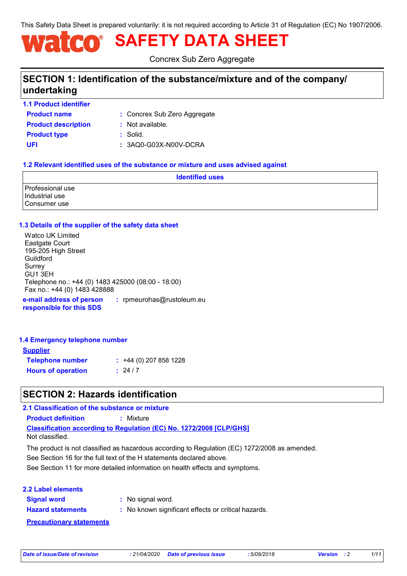This Safety Data Sheet is prepared voluntarily: it is not required according to Article 31 of Regulation (EC) No 1907/2006.

# **SAFETY DATA SHEET**

Concrex Sub Zero Aggregate

# **SECTION 1: Identification of the substance/mixture and of the company/ undertaking**

**1.1 Product identifier**

**Product name Product description :** Not available.

Concrex Sub Zero Aggregate **:**

**Product type :** Solid.

#### **UFI :** 3AQ0-G03X-N00V-DCRA

#### **1.2 Relevant identified uses of the substance or mixture and uses advised against**

| <b>Identified uses</b>                             |  |  |
|----------------------------------------------------|--|--|
| Professional use<br>Industrial use<br>Consumer use |  |  |

#### **1.3 Details of the supplier of the safety data sheet**

**e-mail address of person responsible for this SDS :** rpmeurohas@rustoleum.eu Watco UK Limited Eastgate Court 195-205 High Street Guildford **Surrey** GU1 3EH Telephone no.: +44 (0) 1483 425000 (08:00 - 18:00) Fax no.: +44 (0) 1483 428888

#### **1.4 Emergency telephone number**

| <b>Supplier</b>           |                         |
|---------------------------|-------------------------|
| <b>Telephone number</b>   | $: +44(0)$ 207 858 1228 |
| <b>Hours of operation</b> | : 24/7                  |

# **SECTION 2: Hazards identification**

**2.1 Classification of the substance or mixture**

**Product definition :** Mixture

**Classification according to Regulation (EC) No. 1272/2008 [CLP/GHS]**

Not classified.

The product is not classified as hazardous according to Regulation (EC) 1272/2008 as amended.

See Section 16 for the full text of the H statements declared above.

See Section 11 for more detailed information on health effects and symptoms.

#### **2.2 Label elements**

**Signal word : Hazard statements :** : No signal word.

: No known significant effects or critical hazards.

**Precautionary statements**

*Date of issue/Date of revision* **:** *21/04/2020 Date of previous issue : 5/09/2018 Version : 2 1/11*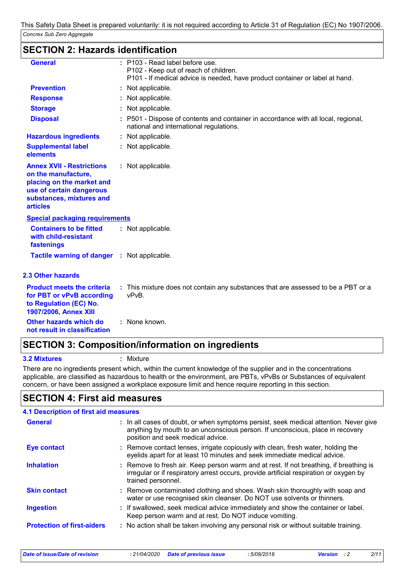# **SECTION 2: Hazards identification**

| <b>General</b>                                                                                                                                                  | : P103 - Read label before use.<br>P102 - Keep out of reach of children.<br>P101 - If medical advice is needed, have product container or label at hand. |
|-----------------------------------------------------------------------------------------------------------------------------------------------------------------|----------------------------------------------------------------------------------------------------------------------------------------------------------|
| <b>Prevention</b>                                                                                                                                               | : Not applicable.                                                                                                                                        |
| <b>Response</b>                                                                                                                                                 | : Not applicable.                                                                                                                                        |
| <b>Storage</b>                                                                                                                                                  | : Not applicable.                                                                                                                                        |
| <b>Disposal</b>                                                                                                                                                 | : P501 - Dispose of contents and container in accordance with all local, regional,<br>national and international regulations.                            |
| <b>Hazardous ingredients</b>                                                                                                                                    | : Not applicable.                                                                                                                                        |
| <b>Supplemental label</b><br>elements                                                                                                                           | : Not applicable.                                                                                                                                        |
| <b>Annex XVII - Restrictions</b><br>on the manufacture,<br>placing on the market and<br>use of certain dangerous<br>substances, mixtures and<br><b>articles</b> | : Not applicable.                                                                                                                                        |
| <b>Special packaging requirements</b>                                                                                                                           |                                                                                                                                                          |
| <b>Containers to be fitted</b><br>with child-resistant<br>fastenings                                                                                            | : Not applicable.                                                                                                                                        |
| <b>Tactile warning of danger</b>                                                                                                                                | : Not applicable.                                                                                                                                        |
| <b>2.3 Other hazards</b>                                                                                                                                        |                                                                                                                                                          |
| <b>Product meets the criteria</b><br>for PBT or vPvB according<br>to Regulation (EC) No.<br>1907/2006, Annex XIII                                               | : This mixture does not contain any substances that are assessed to be a PBT or a<br>vPvB.                                                               |
| <b>Other hazards which do</b><br>not result in classification                                                                                                   | : None known.                                                                                                                                            |

# **SECTION 3: Composition/information on ingredients**

**3.2 Mixtures :** Mixture

There are no ingredients present which, within the current knowledge of the supplier and in the concentrations applicable, are classified as hazardous to health or the environment, are PBTs, vPvBs or Substances of equivalent concern, or have been assigned a workplace exposure limit and hence require reporting in this section.

# **SECTION 4: First aid measures**

| <b>4.1 Description of first aid measures</b> |                                                                                                                                                                                                             |
|----------------------------------------------|-------------------------------------------------------------------------------------------------------------------------------------------------------------------------------------------------------------|
| <b>General</b>                               | : In all cases of doubt, or when symptoms persist, seek medical attention. Never give<br>anything by mouth to an unconscious person. If unconscious, place in recovery<br>position and seek medical advice. |
| <b>Eye contact</b>                           | : Remove contact lenses, irrigate copiously with clean, fresh water, holding the<br>eyelids apart for at least 10 minutes and seek immediate medical advice.                                                |
| <b>Inhalation</b>                            | : Remove to fresh air. Keep person warm and at rest. If not breathing, if breathing is<br>irregular or if respiratory arrest occurs, provide artificial respiration or oxygen by<br>trained personnel.      |
| <b>Skin contact</b>                          | : Remove contaminated clothing and shoes. Wash skin thoroughly with soap and<br>water or use recognised skin cleanser. Do NOT use solvents or thinners.                                                     |
| <b>Ingestion</b>                             | : If swallowed, seek medical advice immediately and show the container or label.<br>Keep person warm and at rest. Do NOT induce vomiting.                                                                   |
| <b>Protection of first-aiders</b>            | : No action shall be taken involving any personal risk or without suitable training.                                                                                                                        |

*Date of issue/Date of revision* **:** *21/04/2020 Date of previous issue : 5/09/2018 Version : 2 2/11*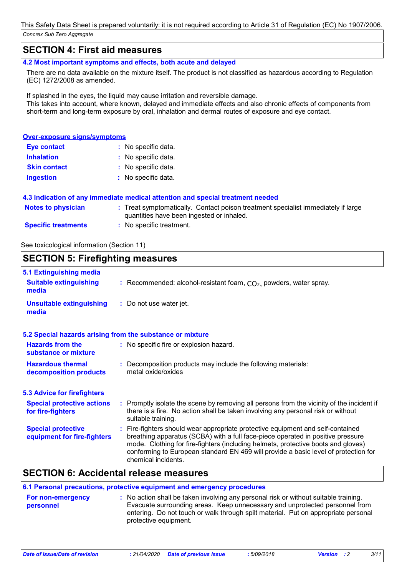## **SECTION 4: First aid measures**

**4.2 Most important symptoms and effects, both acute and delayed**

There are no data available on the mixture itself. The product is not classified as hazardous according to Regulation (EC) 1272/2008 as amended.

If splashed in the eyes, the liquid may cause irritation and reversible damage. This takes into account, where known, delayed and immediate effects and also chronic effects of components from short-term and long-term exposure by oral, inhalation and dermal routes of exposure and eye contact.

#### **Over-exposure signs/symptoms**

| <b>Eye contact</b>  | : No specific data. |
|---------------------|---------------------|
| <b>Inhalation</b>   | : No specific data. |
| <b>Skin contact</b> | : No specific data. |
| <b>Ingestion</b>    | : No specific data. |

#### **4.3 Indication of any immediate medical attention and special treatment needed**

| <b>Notes to physician</b>  | Treat symptomatically. Contact poison treatment specialist immediately if large |
|----------------------------|---------------------------------------------------------------------------------|
|                            | quantities have been ingested or inhaled.                                       |
| <b>Specific treatments</b> | No specific treatment.                                                          |

See toxicological information (Section 11)

## **SECTION 5: Firefighting measures**

| 5.1 Extinguishing media                                  |                                                                                                                                                                                                                                                                                                                                                                       |  |
|----------------------------------------------------------|-----------------------------------------------------------------------------------------------------------------------------------------------------------------------------------------------------------------------------------------------------------------------------------------------------------------------------------------------------------------------|--|
| <b>Suitable extinguishing</b><br>media                   | : Recommended: alcohol-resistant foam, $CO2$ , powders, water spray.                                                                                                                                                                                                                                                                                                  |  |
| <b>Unsuitable extinguishing</b><br>media                 | : Do not use water jet.                                                                                                                                                                                                                                                                                                                                               |  |
|                                                          | 5.2 Special hazards arising from the substance or mixture                                                                                                                                                                                                                                                                                                             |  |
| <b>Hazards from the</b><br>substance or mixture          | : No specific fire or explosion hazard.                                                                                                                                                                                                                                                                                                                               |  |
| <b>Hazardous thermal</b><br>decomposition products       | : Decomposition products may include the following materials:<br>metal oxide/oxides                                                                                                                                                                                                                                                                                   |  |
| <b>5.3 Advice for firefighters</b>                       |                                                                                                                                                                                                                                                                                                                                                                       |  |
| <b>Special protective actions</b><br>for fire-fighters   | : Promptly isolate the scene by removing all persons from the vicinity of the incident if<br>there is a fire. No action shall be taken involving any personal risk or without<br>suitable training.                                                                                                                                                                   |  |
| <b>Special protective</b><br>equipment for fire-fighters | : Fire-fighters should wear appropriate protective equipment and self-contained<br>breathing apparatus (SCBA) with a full face-piece operated in positive pressure<br>mode. Clothing for fire-fighters (including helmets, protective boots and gloves)<br>conforming to European standard EN 469 will provide a basic level of protection for<br>chemical incidents. |  |

## **SECTION 6: Accidental release measures**

| 6.1 Personal precautions, protective equipment and emergency procedures |                                                                                                                                                                                                                                                                                    |  |  |
|-------------------------------------------------------------------------|------------------------------------------------------------------------------------------------------------------------------------------------------------------------------------------------------------------------------------------------------------------------------------|--|--|
| <b>For non-emergency</b><br>personnel                                   | : No action shall be taken involving any personal risk or without suitable training.<br>Evacuate surrounding areas. Keep unnecessary and unprotected personnel from<br>entering. Do not touch or walk through spilt material. Put on appropriate personal<br>protective equipment. |  |  |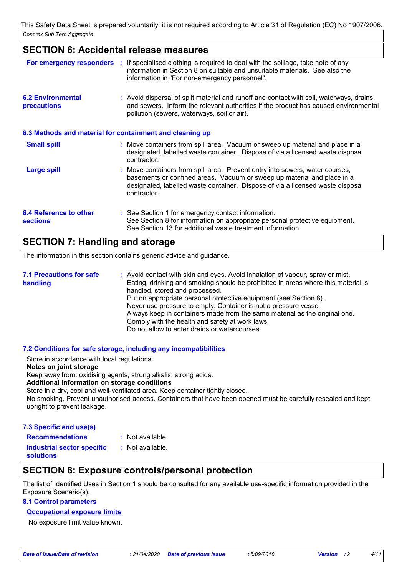### **SECTION 6: Accidental release measures**

| For emergency responders                                 | : If specialised clothing is required to deal with the spillage, take note of any<br>information in Section 8 on suitable and unsuitable materials. See also the<br>information in "For non-emergency personnel".                                        |
|----------------------------------------------------------|----------------------------------------------------------------------------------------------------------------------------------------------------------------------------------------------------------------------------------------------------------|
| <b>6.2 Environmental</b><br><b>precautions</b>           | : Avoid dispersal of spilt material and runoff and contact with soil, waterways, drains<br>and sewers. Inform the relevant authorities if the product has caused environmental<br>pollution (sewers, waterways, soil or air).                            |
| 6.3 Methods and material for containment and cleaning up |                                                                                                                                                                                                                                                          |
| <b>Small spill</b>                                       | : Move containers from spill area. Vacuum or sweep up material and place in a<br>designated, labelled waste container. Dispose of via a licensed waste disposal<br>contractor.                                                                           |
| <b>Large spill</b>                                       | : Move containers from spill area. Prevent entry into sewers, water courses,<br>basements or confined areas. Vacuum or sweep up material and place in a<br>designated, labelled waste container. Dispose of via a licensed waste disposal<br>contractor. |
| 6.4 Reference to other<br><b>sections</b>                | : See Section 1 for emergency contact information.<br>See Section 8 for information on appropriate personal protective equipment.<br>See Section 13 for additional waste treatment information.                                                          |
|                                                          |                                                                                                                                                                                                                                                          |

# **SECTION 7: Handling and storage**

The information in this section contains generic advice and guidance.

Avoid contact with skin and eyes. Avoid inhalation of vapour, spray or mist. **:** Eating, drinking and smoking should be prohibited in areas where this material is handled, stored and processed. Put on appropriate personal protective equipment (see Section 8). Never use pressure to empty. Container is not a pressure vessel. Always keep in containers made from the same material as the original one. Comply with the health and safety at work laws. Do not allow to enter drains or watercourses. **7.1 Precautions for safe handling**

#### **7.2 Conditions for safe storage, including any incompatibilities**

Store in accordance with local regulations.

#### **Notes on joint storage**

Keep away from: oxidising agents, strong alkalis, strong acids.

#### **Additional information on storage conditions**

Store in a dry, cool and well-ventilated area. Keep container tightly closed.

No smoking. Prevent unauthorised access. Containers that have been opened must be carefully resealed and kept upright to prevent leakage.

#### **7.3 Specific end use(s)**

```
: Not available.
```
**Recommendations : Industrial sector specific : solutions** : Not available.

## **SECTION 8: Exposure controls/personal protection**

The list of Identified Uses in Section 1 should be consulted for any available use-specific information provided in the Exposure Scenario(s).

#### **8.1 Control parameters**

#### **Occupational exposure limits**

No exposure limit value known.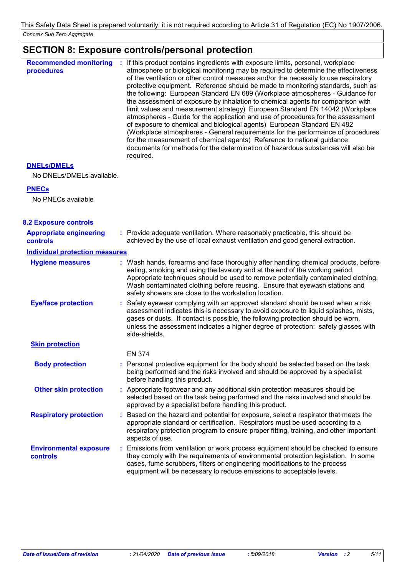# **SECTION 8: Exposure controls/personal protection**

| <b>Recommended monitoring</b><br>procedures | : If this product contains ingredients with exposure limits, personal, workplace<br>atmosphere or biological monitoring may be required to determine the effectiveness<br>of the ventilation or other control measures and/or the necessity to use respiratory<br>protective equipment. Reference should be made to monitoring standards, such as<br>the following: European Standard EN 689 (Workplace atmospheres - Guidance for<br>the assessment of exposure by inhalation to chemical agents for comparison with<br>limit values and measurement strategy) European Standard EN 14042 (Workplace<br>atmospheres - Guide for the application and use of procedures for the assessment<br>of exposure to chemical and biological agents) European Standard EN 482<br>(Workplace atmospheres - General requirements for the performance of procedures<br>for the measurement of chemical agents) Reference to national guidance<br>documents for methods for the determination of hazardous substances will also be<br>required. |
|---------------------------------------------|------------------------------------------------------------------------------------------------------------------------------------------------------------------------------------------------------------------------------------------------------------------------------------------------------------------------------------------------------------------------------------------------------------------------------------------------------------------------------------------------------------------------------------------------------------------------------------------------------------------------------------------------------------------------------------------------------------------------------------------------------------------------------------------------------------------------------------------------------------------------------------------------------------------------------------------------------------------------------------------------------------------------------------|
| <b>DNELS/DMELS</b>                          |                                                                                                                                                                                                                                                                                                                                                                                                                                                                                                                                                                                                                                                                                                                                                                                                                                                                                                                                                                                                                                    |
| No DNELs/DMELs available.                   |                                                                                                                                                                                                                                                                                                                                                                                                                                                                                                                                                                                                                                                                                                                                                                                                                                                                                                                                                                                                                                    |
| <b>PNECs</b>                                |                                                                                                                                                                                                                                                                                                                                                                                                                                                                                                                                                                                                                                                                                                                                                                                                                                                                                                                                                                                                                                    |
| No PNECs available                          |                                                                                                                                                                                                                                                                                                                                                                                                                                                                                                                                                                                                                                                                                                                                                                                                                                                                                                                                                                                                                                    |
| <b>8.2 Exposure controls</b>                |                                                                                                                                                                                                                                                                                                                                                                                                                                                                                                                                                                                                                                                                                                                                                                                                                                                                                                                                                                                                                                    |
| <b>Appropriate engineering</b>              | : Provide adequate ventilation. Where reasonably practicable, this should be                                                                                                                                                                                                                                                                                                                                                                                                                                                                                                                                                                                                                                                                                                                                                                                                                                                                                                                                                       |
| controls                                    | achieved by the use of local exhaust ventilation and good general extraction.                                                                                                                                                                                                                                                                                                                                                                                                                                                                                                                                                                                                                                                                                                                                                                                                                                                                                                                                                      |
| <b>Individual protection measures</b>       |                                                                                                                                                                                                                                                                                                                                                                                                                                                                                                                                                                                                                                                                                                                                                                                                                                                                                                                                                                                                                                    |
| <b>Hygiene measures</b>                     | : Wash hands, forearms and face thoroughly after handling chemical products, before<br>eating, smoking and using the lavatory and at the end of the working period.<br>Appropriate techniques should be used to remove potentially contaminated clothing.<br>Wash contaminated clothing before reusing. Ensure that eyewash stations and<br>safety showers are close to the workstation location.                                                                                                                                                                                                                                                                                                                                                                                                                                                                                                                                                                                                                                  |
| <b>Eye/face protection</b>                  | : Safety eyewear complying with an approved standard should be used when a risk<br>assessment indicates this is necessary to avoid exposure to liquid splashes, mists,<br>gases or dusts. If contact is possible, the following protection should be worn,<br>unless the assessment indicates a higher degree of protection: safety glasses with<br>side-shields.                                                                                                                                                                                                                                                                                                                                                                                                                                                                                                                                                                                                                                                                  |
| <b>Skin protection</b>                      |                                                                                                                                                                                                                                                                                                                                                                                                                                                                                                                                                                                                                                                                                                                                                                                                                                                                                                                                                                                                                                    |
|                                             | <b>EN 374</b>                                                                                                                                                                                                                                                                                                                                                                                                                                                                                                                                                                                                                                                                                                                                                                                                                                                                                                                                                                                                                      |
| <b>Body protection</b>                      | : Personal protective equipment for the body should be selected based on the task<br>being performed and the risks involved and should be approved by a specialist<br>before handling this product.                                                                                                                                                                                                                                                                                                                                                                                                                                                                                                                                                                                                                                                                                                                                                                                                                                |
| <b>Other skin protection</b>                | : Appropriate footwear and any additional skin protection measures should be<br>selected based on the task being performed and the risks involved and should be<br>approved by a specialist before handling this product.                                                                                                                                                                                                                                                                                                                                                                                                                                                                                                                                                                                                                                                                                                                                                                                                          |
| <b>Respiratory protection</b>               | : Based on the hazard and potential for exposure, select a respirator that meets the<br>appropriate standard or certification. Respirators must be used according to a<br>respiratory protection program to ensure proper fitting, training, and other important<br>aspects of use.                                                                                                                                                                                                                                                                                                                                                                                                                                                                                                                                                                                                                                                                                                                                                |
| <b>Environmental exposure</b><br>controls   | : Emissions from ventilation or work process equipment should be checked to ensure<br>they comply with the requirements of environmental protection legislation. In some<br>cases, fume scrubbers, filters or engineering modifications to the process<br>equipment will be necessary to reduce emissions to acceptable levels.                                                                                                                                                                                                                                                                                                                                                                                                                                                                                                                                                                                                                                                                                                    |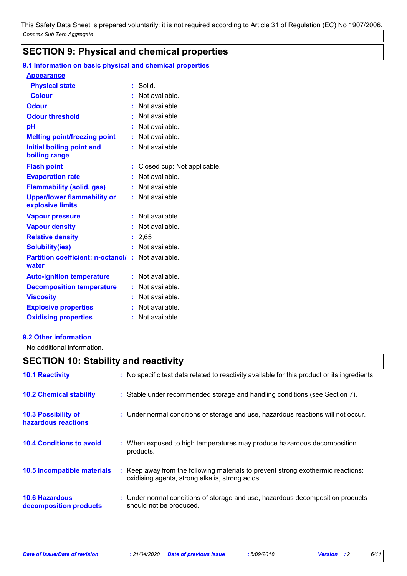# **SECTION 9: Physical and chemical properties**

### **9.1 Information on basic physical and chemical properties**

#### **Appearance**

| <b>Physical state</b>                                  | t. | Solid.                      |
|--------------------------------------------------------|----|-----------------------------|
| <b>Colour</b>                                          |    | Not available.              |
| <b>Odour</b>                                           |    | Not available.              |
| <b>Odour threshold</b>                                 |    | Not available.              |
| рH                                                     |    | Not available.              |
| <b>Melting point/freezing point</b>                    |    | Not available.              |
| Initial boiling point and<br>boiling range             |    | Not available.              |
| <b>Flash point</b>                                     |    | Closed cup: Not applicable. |
| <b>Evaporation rate</b>                                |    | Not available.              |
| <b>Flammability (solid, gas)</b>                       |    | Not available.              |
| <b>Upper/lower flammability or</b><br>explosive limits |    | Not available.              |
| <b>Vapour pressure</b>                                 |    | Not available.              |
| <b>Vapour density</b>                                  |    | Not available.              |
| <b>Relative density</b>                                | ÷. | 2,65                        |
| <b>Solubility(ies)</b>                                 |    | Not available.              |
| <b>Partition coefficient: n-octanol/</b><br>water      | ÷  | Not available.              |
| <b>Auto-ignition temperature</b>                       |    | Not available.              |
| <b>Decomposition temperature</b>                       |    | Not available.              |
| <b>Viscosity</b>                                       |    | Not available.              |
| <b>Explosive properties</b>                            |    | Not available.              |
| <b>Oxidising properties</b>                            |    | Not available.              |

#### **9.2 Other information**

No additional information.

# **SECTION 10: Stability and reactivity**

| <b>10.1 Reactivity</b>                            | : No specific test data related to reactivity available for this product or its ingredients.                                        |
|---------------------------------------------------|-------------------------------------------------------------------------------------------------------------------------------------|
| <b>10.2 Chemical stability</b>                    | : Stable under recommended storage and handling conditions (see Section 7).                                                         |
| <b>10.3 Possibility of</b><br>hazardous reactions | : Under normal conditions of storage and use, hazardous reactions will not occur.                                                   |
| <b>10.4 Conditions to avoid</b>                   | : When exposed to high temperatures may produce hazardous decomposition<br>products.                                                |
| 10.5 Incompatible materials                       | : Keep away from the following materials to prevent strong exothermic reactions:<br>oxidising agents, strong alkalis, strong acids. |
| <b>10.6 Hazardous</b><br>decomposition products   | : Under normal conditions of storage and use, hazardous decomposition products<br>should not be produced.                           |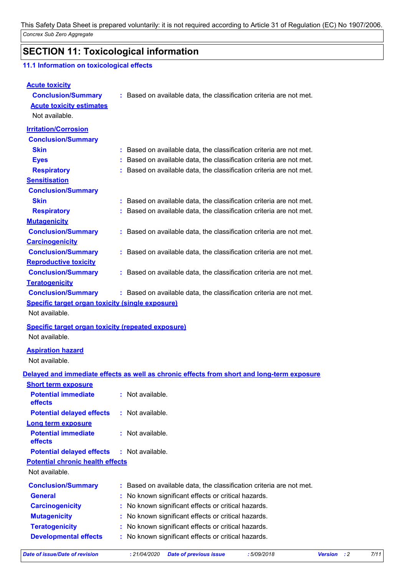*Concrex Sub Zero Aggregate* This Safety Data Sheet is prepared voluntarily: it is not required according to Article 31 of Regulation (EC) No 1907/2006.

# **SECTION 11: Toxicological information**

## **11.1 Information on toxicological effects**

| <b>Acute toxicity</b>                                     |                                                                                            |                                             |      |
|-----------------------------------------------------------|--------------------------------------------------------------------------------------------|---------------------------------------------|------|
| <b>Conclusion/Summary</b>                                 | : Based on available data, the classification criteria are not met.                        |                                             |      |
| <b>Acute toxicity estimates</b>                           |                                                                                            |                                             |      |
| Not available.                                            |                                                                                            |                                             |      |
| <b>Irritation/Corrosion</b>                               |                                                                                            |                                             |      |
| <b>Conclusion/Summary</b>                                 |                                                                                            |                                             |      |
| <b>Skin</b>                                               | : Based on available data, the classification criteria are not met.                        |                                             |      |
| <b>Eyes</b>                                               | Based on available data, the classification criteria are not met.                          |                                             |      |
| <b>Respiratory</b>                                        | : Based on available data, the classification criteria are not met.                        |                                             |      |
| <b>Sensitisation</b>                                      |                                                                                            |                                             |      |
| <b>Conclusion/Summary</b>                                 |                                                                                            |                                             |      |
| <b>Skin</b>                                               | : Based on available data, the classification criteria are not met.                        |                                             |      |
| <b>Respiratory</b>                                        | : Based on available data, the classification criteria are not met.                        |                                             |      |
| <b>Mutagenicity</b>                                       |                                                                                            |                                             |      |
| <b>Conclusion/Summary</b>                                 | : Based on available data, the classification criteria are not met.                        |                                             |      |
| <b>Carcinogenicity</b>                                    |                                                                                            |                                             |      |
| <b>Conclusion/Summary</b>                                 | : Based on available data, the classification criteria are not met.                        |                                             |      |
| <b>Reproductive toxicity</b>                              |                                                                                            |                                             |      |
| <b>Conclusion/Summary</b>                                 | : Based on available data, the classification criteria are not met.                        |                                             |      |
| <b>Teratogenicity</b>                                     |                                                                                            |                                             |      |
| <b>Conclusion/Summary</b>                                 | : Based on available data, the classification criteria are not met.                        |                                             |      |
| <b>Specific target organ toxicity (single exposure)</b>   |                                                                                            |                                             |      |
| Not available.                                            |                                                                                            |                                             |      |
| <b>Specific target organ toxicity (repeated exposure)</b> |                                                                                            |                                             |      |
| Not available.                                            |                                                                                            |                                             |      |
| <b>Aspiration hazard</b>                                  |                                                                                            |                                             |      |
| Not available.                                            |                                                                                            |                                             |      |
|                                                           | Delayed and immediate effects as well as chronic effects from short and long-term exposure |                                             |      |
| <b>Short term exposure</b>                                |                                                                                            |                                             |      |
| <b>Potential immediate</b>                                | : Not available.                                                                           |                                             |      |
| effects                                                   |                                                                                            |                                             |      |
| <b>Potential delayed effects</b>                          | : Not available.                                                                           |                                             |      |
| Long term exposure                                        |                                                                                            |                                             |      |
| <b>Potential immediate</b><br>effects                     | : Not available.                                                                           |                                             |      |
| <b>Potential delayed effects</b>                          | : Not available.                                                                           |                                             |      |
| <b>Potential chronic health effects</b>                   |                                                                                            |                                             |      |
| Not available.                                            |                                                                                            |                                             |      |
| <b>Conclusion/Summary</b>                                 | Based on available data, the classification criteria are not met.                          |                                             |      |
| <b>General</b>                                            | No known significant effects or critical hazards.                                          |                                             |      |
| <b>Carcinogenicity</b>                                    | No known significant effects or critical hazards.                                          |                                             |      |
| <b>Mutagenicity</b>                                       | No known significant effects or critical hazards.                                          |                                             |      |
| <b>Teratogenicity</b>                                     | No known significant effects or critical hazards.                                          |                                             |      |
| <b>Developmental effects</b>                              | No known significant effects or critical hazards.                                          |                                             |      |
|                                                           |                                                                                            |                                             |      |
| <b>Date of issue/Date of revision</b>                     | : 21/04/2020<br><b>Date of previous issue</b>                                              | :5/09/2018<br><b>Version</b><br>$\cdot$ : 2 | 7/11 |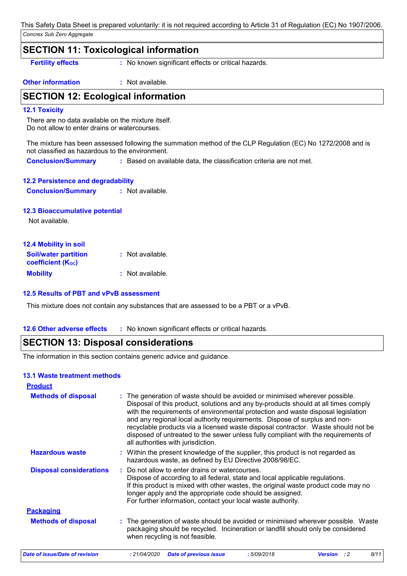## **SECTION 11: Toxicological information**

**Fertility effects :** No known significant effects or critical hazards.

**Other information :** Not available.

## **SECTION 12: Ecological information**

#### **12.1 Toxicity**

There are no data available on the mixture itself. Do not allow to enter drains or watercourses.

The mixture has been assessed following the summation method of the CLP Regulation (EC) No 1272/2008 and is not classified as hazardous to the environment.

**Conclusion/Summary :** Based on available data, the classification criteria are not met.

| <b>12.2 Persistence and degradability</b> |                  |  |  |
|-------------------------------------------|------------------|--|--|
| <b>Conclusion/Summary</b>                 | : Not available. |  |  |

#### **12.3 Bioaccumulative potential**

Not available.

| <b>12.4 Mobility in soil</b> |                  |
|------------------------------|------------------|
| <b>Soil/water partition</b>  | : Not available. |
| <b>coefficient (Koc)</b>     |                  |
| <b>Mobility</b>              | : Not available. |

#### **12.5 Results of PBT and vPvB assessment**

This mixture does not contain any substances that are assessed to be a PBT or a vPvB.

#### **12.6 Other adverse effects** : No known significant effects or critical hazards.

## **SECTION 13: Disposal considerations**

The information in this section contains generic advice and guidance.

#### **13.1 Waste treatment methods**

| <b>Product</b>                 |                                                                                                                                                                                                                                                                                                                                                                                                                                                                                                                                                      |
|--------------------------------|------------------------------------------------------------------------------------------------------------------------------------------------------------------------------------------------------------------------------------------------------------------------------------------------------------------------------------------------------------------------------------------------------------------------------------------------------------------------------------------------------------------------------------------------------|
| <b>Methods of disposal</b>     | : The generation of waste should be avoided or minimised wherever possible.<br>Disposal of this product, solutions and any by-products should at all times comply<br>with the requirements of environmental protection and waste disposal legislation<br>and any regional local authority requirements. Dispose of surplus and non-<br>recyclable products via a licensed waste disposal contractor. Waste should not be<br>disposed of untreated to the sewer unless fully compliant with the requirements of<br>all authorities with jurisdiction. |
| <b>Hazardous waste</b>         | : Within the present knowledge of the supplier, this product is not regarded as<br>hazardous waste, as defined by EU Directive 2008/98/EC.                                                                                                                                                                                                                                                                                                                                                                                                           |
| <b>Disposal considerations</b> | Do not allow to enter drains or watercourses.<br>Dispose of according to all federal, state and local applicable regulations.<br>If this product is mixed with other wastes, the original waste product code may no<br>longer apply and the appropriate code should be assigned.<br>For further information, contact your local waste authority.                                                                                                                                                                                                     |
| <b>Packaging</b>               |                                                                                                                                                                                                                                                                                                                                                                                                                                                                                                                                                      |
| <b>Methods of disposal</b>     | : The generation of waste should be avoided or minimised wherever possible. Waste<br>packaging should be recycled. Incineration or landfill should only be considered<br>when recycling is not feasible.                                                                                                                                                                                                                                                                                                                                             |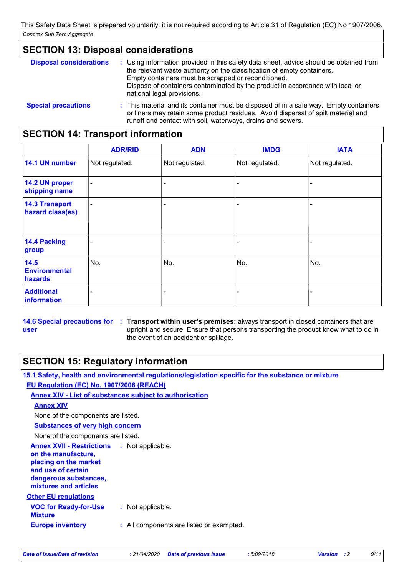# **SECTION 13: Disposal considerations**

| <b>Disposal considerations</b> | : Using information provided in this safety data sheet, advice should be obtained from<br>the relevant waste authority on the classification of empty containers.<br>Empty containers must be scrapped or reconditioned.<br>Dispose of containers contaminated by the product in accordance with local or<br>national legal provisions. |
|--------------------------------|-----------------------------------------------------------------------------------------------------------------------------------------------------------------------------------------------------------------------------------------------------------------------------------------------------------------------------------------|
| <b>Special precautions</b>     | : This material and its container must be disposed of in a safe way. Empty containers<br>or liners may retain some product residues. Avoid dispersal of spilt material and                                                                                                                                                              |

runoff and contact with soil, waterways, drains and sewers.

# **SECTION 14: Transport information**

|                                           | <b>ADR/RID</b>           | <b>ADN</b>     | <b>IMDG</b>    | <b>IATA</b>    |
|-------------------------------------------|--------------------------|----------------|----------------|----------------|
| 14.1 UN number                            | Not regulated.           | Not regulated. | Not regulated. | Not regulated. |
| 14.2 UN proper<br>shipping name           | $\blacksquare$           |                |                |                |
| <b>14.3 Transport</b><br>hazard class(es) | $\overline{\phantom{0}}$ |                |                |                |
| <b>14.4 Packing</b><br>group              |                          |                |                |                |
| 14.5<br><b>Environmental</b><br>hazards   | No.                      | No.            | No.            | No.            |
| <b>Additional</b><br>information          |                          |                |                |                |

**14.6 Special precautions for : Transport within user's premises: always transport in closed containers that are user** upright and secure. Ensure that persons transporting the product know what to do in the event of an accident or spillage.

# **SECTION 15: Regulatory information**

**15.1 Safety, health and environmental regulations/legislation specific for the substance or mixture EU Regulation (EC) No. 1907/2006 (REACH)**

# **Annex XIV - List of substances subject to authorisation**

**Annex XIV**

None of the components are listed.

## **Substances of very high concern**

None of the components are listed.

**Annex XVII - Restrictions : Not applicable. on the manufacture, placing on the market and use of certain dangerous substances, mixtures and articles**

#### **Other EU regulations**

| <b>VOC for Ready-for-Use</b><br>Mixture | : Not applicable.                        |
|-----------------------------------------|------------------------------------------|
| <b>Europe inventory</b>                 | : All components are listed or exempted. |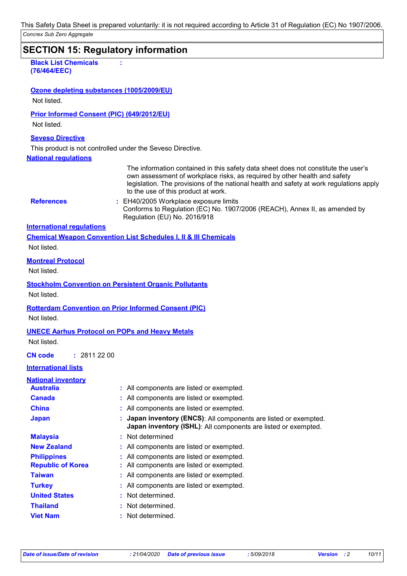*Concrex Sub Zero Aggregate* This Safety Data Sheet is prepared voluntarily: it is not required according to Article 31 of Regulation (EC) No 1907/2006.

# **SECTION 15: Regulatory information National regulations Black List Chemicals (76/464/EEC) : International regulations References : Seveso Directive** This product is not controlled under the Seveso Directive. **Chemical Weapon Convention List Schedules I, II & III Chemicals Montreal Protocol** Not listed. **Stockholm Convention on Persistent Organic Pollutants** Not listed. **Rotterdam Convention on Prior Informed Consent (PIC)** Not listed. **UNECE Aarhus Protocol on POPs and Heavy Metals** Not listed. **International lists National inventory Australia :** All components are listed or exempted. **Canada :** All components are listed or exempted. **China :** All components are listed or exempted. **Republic of Korea :** All components are listed or exempted. **Malaysia :** Not determined **New Zealand :** All components are listed or exempted. **Philippines :** All components are listed or exempted. : EH40/2005 Workplace exposure limits Conforms to Regulation (EC) No. 1907/2006 (REACH), Annex II, as amended by Regulation (EU) No. 2016/918 **CN code :** 2811 22 00 **Ozone depleting substances (1005/2009/EU)** Not listed. **Prior Informed Consent (PIC) (649/2012/EU)** Not listed. The information contained in this safety data sheet does not constitute the user's own assessment of workplace risks, as required by other health and safety legislation. The provisions of the national health and safety at work regulations apply to the use of this product at work. Not listed.

**Japan : Japan inventory (ENCS)**: All components are listed or exempted. **Japan inventory (ISHL)**: All components are listed or exempted. **Taiwan :** All components are listed or exempted. **United States :** Not determined. **Turkey :** All components are listed or exempted. **Thailand :** Not determined. **Viet Nam :** Not determined.